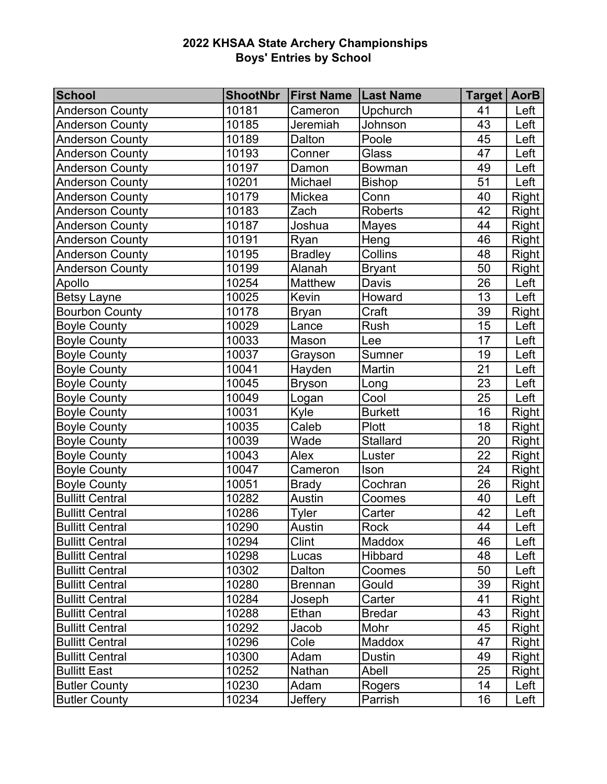| <b>School</b>          | <b>ShootNbr</b> | <b>First Name</b> | <b>Last Name</b> | Target   AorB |              |
|------------------------|-----------------|-------------------|------------------|---------------|--------------|
| <b>Anderson County</b> | 10181           | Cameron           | Upchurch         | 41            | Left         |
| <b>Anderson County</b> | 10185           | Jeremiah          | Johnson          | 43            | Left         |
| <b>Anderson County</b> | 10189           | Dalton            | Poole            | 45            | Left         |
| <b>Anderson County</b> | 10193           | Conner            | Glass            | 47            | Left         |
| <b>Anderson County</b> | 10197           | Damon             | Bowman           | 49            | Left         |
| <b>Anderson County</b> | 10201           | Michael           | <b>Bishop</b>    | 51            | Left         |
| <b>Anderson County</b> | 10179           | Mickea            | Conn             | 40            | <b>Right</b> |
| <b>Anderson County</b> | 10183           | Zach              | <b>Roberts</b>   | 42            | <b>Right</b> |
| <b>Anderson County</b> | 10187           | Joshua            | Mayes            | 44            | <b>Right</b> |
| <b>Anderson County</b> | 10191           | Ryan              | Heng             | 46            | <b>Right</b> |
| <b>Anderson County</b> | 10195           | <b>Bradley</b>    | Collins          | 48            | Right        |
| <b>Anderson County</b> | 10199           | Alanah            | <b>Bryant</b>    | 50            | Right        |
| Apollo                 | 10254           | Matthew           | Davis            | 26            | Left         |
| <b>Betsy Layne</b>     | 10025           | Kevin             | Howard           | 13            | Left         |
| <b>Bourbon County</b>  | 10178           | <b>Bryan</b>      | Craft            | 39            | <b>Right</b> |
| <b>Boyle County</b>    | 10029           | Lance             | Rush             | 15            | Left         |
| <b>Boyle County</b>    | 10033           | Mason             | Lee              | 17            | Left         |
| <b>Boyle County</b>    | 10037           | Grayson           | Sumner           | 19            | Left         |
| <b>Boyle County</b>    | 10041           | Hayden            | Martin           | 21            | Left         |
| <b>Boyle County</b>    | 10045           | <b>Bryson</b>     | Long             | 23            | Left         |
| <b>Boyle County</b>    | 10049           | Logan             | Cool             | 25            | Left         |
| <b>Boyle County</b>    | 10031           | Kyle              | <b>Burkett</b>   | 16            | Right        |
| <b>Boyle County</b>    | 10035           | Caleb             | <b>Plott</b>     | 18            | Right        |
| <b>Boyle County</b>    | 10039           | Wade              | <b>Stallard</b>  | 20            | Right        |
| <b>Boyle County</b>    | 10043           | Alex              | Luster           | 22            | Right        |
| <b>Boyle County</b>    | 10047           | Cameron           | Ison             | 24            | <b>Right</b> |
| <b>Boyle County</b>    | 10051           | <b>Brady</b>      | Cochran          | 26            | <b>Right</b> |
| <b>Bullitt Central</b> | 10282           | Austin            | Coomes           | 40            | Left         |
| <b>Bullitt Central</b> | 10286           | <b>Tyler</b>      | Carter           | 42            | Left         |
| <b>Bullitt Central</b> | 10290           | Austin            | Rock             | 44            | Left         |
| <b>Bullitt Central</b> | 10294           | Clint             | Maddox           | 46            | Left         |
| <b>Bullitt Central</b> | 10298           | Lucas             | Hibbard          | 48            | Left         |
| <b>Bullitt Central</b> | 10302           | Dalton            | Coomes           | 50            | Left         |
| <b>Bullitt Central</b> | 10280           | <b>Brennan</b>    | Gould            | 39            | <b>Right</b> |
| <b>Bullitt Central</b> | 10284           | Joseph            | Carter           | 41            | Right        |
| <b>Bullitt Central</b> | 10288           | Ethan             | <b>Bredar</b>    | 43            | Right        |
| <b>Bullitt Central</b> | 10292           | Jacob             | Mohr             | 45            | Right        |
| <b>Bullitt Central</b> | 10296           | Cole              | Maddox           | 47            | Right        |
| <b>Bullitt Central</b> | 10300           | Adam              | <b>Dustin</b>    | 49            | Right        |
| <b>Bullitt East</b>    | 10252           | Nathan            | Abell            | 25            | <b>Right</b> |
| <b>Butler County</b>   | 10230           | Adam              | Rogers           | 14            | Left         |
| <b>Butler County</b>   | 10234           | <b>Jeffery</b>    | Parrish          | 16            | Left         |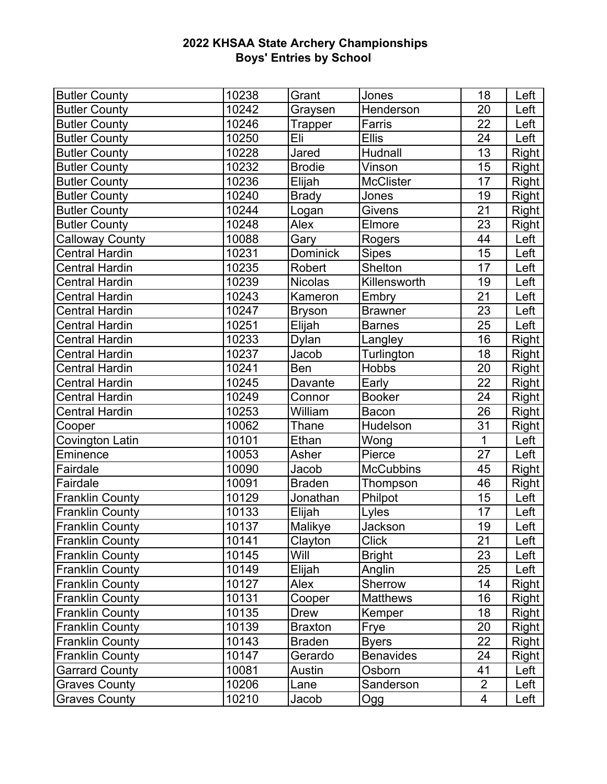| <b>Butler County</b>   | 10238 | Grant          | Jones            | 18             | Left         |
|------------------------|-------|----------------|------------------|----------------|--------------|
| <b>Butler County</b>   | 10242 | Graysen        | Henderson        | 20             | Left         |
| <b>Butler County</b>   | 10246 | Trapper        | Farris           | 22             | Left         |
| <b>Butler County</b>   | 10250 | Eli            | <b>Ellis</b>     | 24             | Left         |
| <b>Butler County</b>   | 10228 | Jared          | Hudnall          | 13             | Right        |
| <b>Butler County</b>   | 10232 | <b>Brodie</b>  | Vinson           | 15             | <b>Right</b> |
| <b>Butler County</b>   | 10236 | Elijah         | <b>McClister</b> | 17             | Right        |
| <b>Butler County</b>   | 10240 | <b>Brady</b>   | Jones            | 19             | Right        |
| <b>Butler County</b>   | 10244 | Logan          | <b>Givens</b>    | 21             | <b>Right</b> |
| <b>Butler County</b>   | 10248 | Alex           | Elmore           | 23             | <b>Right</b> |
| <b>Calloway County</b> | 10088 | Gary           | Rogers           | 44             | Left         |
| <b>Central Hardin</b>  | 10231 | Dominick       | <b>Sipes</b>     | 15             | Left         |
| <b>Central Hardin</b>  | 10235 | Robert         | Shelton          | 17             | Left         |
| <b>Central Hardin</b>  | 10239 | <b>Nicolas</b> | Killensworth     | 19             | Left         |
| <b>Central Hardin</b>  | 10243 | Kameron        | Embry            | 21             | Left         |
| <b>Central Hardin</b>  | 10247 | <b>Bryson</b>  | <b>Brawner</b>   | 23             | Left         |
| <b>Central Hardin</b>  | 10251 | Elijah         | <b>Barnes</b>    | 25             | Left         |
| <b>Central Hardin</b>  | 10233 | Dylan          | Langley          | 16             | <b>Right</b> |
| <b>Central Hardin</b>  | 10237 | Jacob          | Turlington       | 18             | <b>Right</b> |
| <b>Central Hardin</b>  | 10241 | <b>Ben</b>     | <b>Hobbs</b>     | 20             | <b>Right</b> |
| <b>Central Hardin</b>  | 10245 | Davante        | Early            | 22             | <b>Right</b> |
| <b>Central Hardin</b>  | 10249 | Connor         | <b>Booker</b>    | 24             | Right        |
| <b>Central Hardin</b>  | 10253 | William        | Bacon            | 26             | <b>Right</b> |
| Cooper                 | 10062 | Thane          | Hudelson         | 31             | <b>Right</b> |
| Covington Latin        | 10101 | Ethan          | Wong             | $\mathbf{1}$   | Left         |
| Eminence               | 10053 | Asher          | Pierce           | 27             | Left         |
| Fairdale               | 10090 | Jacob          | <b>McCubbins</b> | 45             | <b>Right</b> |
| Fairdale               | 10091 | <b>Braden</b>  | Thompson         | 46             | <b>Right</b> |
| <b>Franklin County</b> | 10129 | Jonathan       | Philpot          | 15             | Left         |
| <b>Franklin County</b> | 10133 | Elijah         | Lyles            | 17             | Left         |
| <b>Franklin County</b> | 10137 | Malikye        | Jackson          | 19             | Left         |
| <b>Franklin County</b> | 10141 | Clayton        | Click            | 21             | Left         |
| <b>Franklin County</b> | 10145 | Will           | <b>Bright</b>    | 23             | Left         |
| <b>Franklin County</b> | 10149 | Elijah         | Anglin           | 25             | Left         |
| <b>Franklin County</b> | 10127 | Alex           | Sherrow          | 14             | Right        |
| <b>Franklin County</b> | 10131 | Cooper         | <b>Matthews</b>  | 16             | Right        |
| <b>Franklin County</b> | 10135 | <b>Drew</b>    | Kemper           | 18             | <b>Right</b> |
| <b>Franklin County</b> | 10139 | <b>Braxton</b> | Frye             | 20             | <b>Right</b> |
| <b>Franklin County</b> | 10143 | <b>Braden</b>  | <b>Byers</b>     | 22             | Right        |
| <b>Franklin County</b> | 10147 | Gerardo        | <b>Benavides</b> | 24             | <b>Right</b> |
| <b>Garrard County</b>  | 10081 | Austin         | Osborn           | 41             | Left         |
| <b>Graves County</b>   | 10206 | Lane           | Sanderson        | $\overline{2}$ | Left         |
| <b>Graves County</b>   | 10210 | Jacob          | Ogg              | 4              | Left         |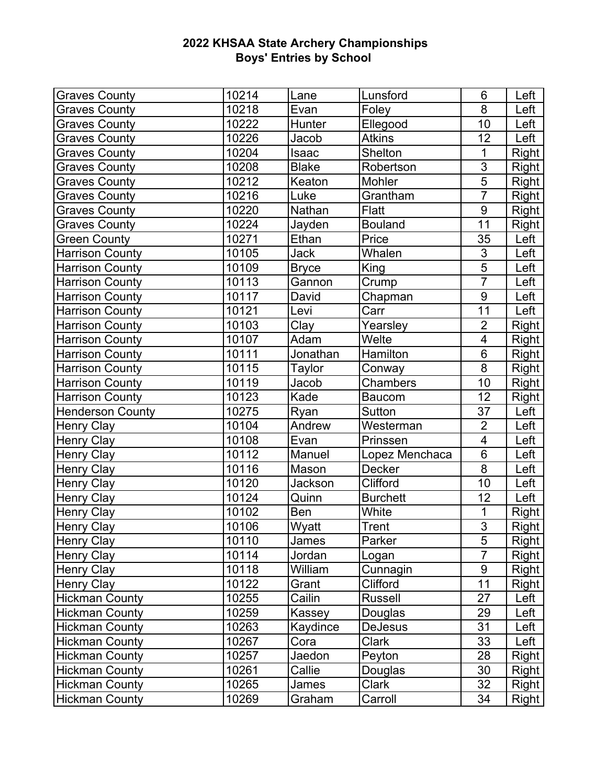| <b>Graves County</b>    | 10214              | Lane         | Lunsford        | 6                       | Left         |
|-------------------------|--------------------|--------------|-----------------|-------------------------|--------------|
| <b>Graves County</b>    | 10218              | Evan         | Foley           | 8                       | Left         |
| <b>Graves County</b>    | 10222              | Hunter       | Ellegood        | 10                      | Left         |
| <b>Graves County</b>    | 10226              | Jacob        | <b>Atkins</b>   | 12                      | Left         |
| <b>Graves County</b>    | 10204              | Isaac        | <b>Shelton</b>  | 1                       | <b>Right</b> |
| <b>Graves County</b>    | 10208              | <b>Blake</b> | Robertson       | 3                       | <b>Right</b> |
| <b>Graves County</b>    | $\frac{1}{102}$ 12 | Keaton       | Mohler          | $\overline{5}$          | Right        |
| <b>Graves County</b>    | 10216              | Luke         | Grantham        | $\overline{7}$          | Right        |
| <b>Graves County</b>    | 10220              | Nathan       | <b>Flatt</b>    | $9$                     | <b>Right</b> |
| <b>Graves County</b>    | 10224              | Jayden       | <b>Bouland</b>  | 11                      | <b>Right</b> |
| <b>Green County</b>     | 10271              | Ethan        | Price           | 35                      | Left         |
| <b>Harrison County</b>  | 10105              | <b>Jack</b>  | Whalen          | $\overline{3}$          | Left         |
| <b>Harrison County</b>  | 10109              | <b>Bryce</b> | King            | $\overline{5}$          | Left         |
| <b>Harrison County</b>  | 10113              | Gannon       | Crump           | $\overline{7}$          | Left         |
| <b>Harrison County</b>  | 10117              | David        | Chapman         | $\overline{9}$          | Left         |
| <b>Harrison County</b>  | 10121              | Levi         | Carr            | 11                      | Left         |
| <b>Harrison County</b>  | 10103              | Clay         | Yearsley        | $\overline{2}$          | Right        |
| <b>Harrison County</b>  | 10107              | Adam         | Welte           | $\overline{\mathbf{4}}$ | <b>Right</b> |
| <b>Harrison County</b>  | 10111              | Jonathan     | Hamilton        | 6                       | <b>Right</b> |
| <b>Harrison County</b>  | 10115              | Taylor       | Conway          | $\overline{8}$          | <b>Right</b> |
| <b>Harrison County</b>  | 10119              | Jacob        | <b>Chambers</b> | 10                      | <b>Right</b> |
| <b>Harrison County</b>  | 10123              | Kade         | <b>Baucom</b>   | 12                      | Right        |
| <b>Henderson County</b> | 10275              | Ryan         | Sutton          | 37                      | Left         |
| <b>Henry Clay</b>       | 10104              | Andrew       | Westerman       | $\overline{2}$          | Left         |
| <b>Henry Clay</b>       | 10108              | Evan         | Prinssen        | $\overline{4}$          | Left         |
| <b>Henry Clay</b>       | 10112              | Manuel       | Lopez Menchaca  | $\overline{6}$          | Left         |
| <b>Henry Clay</b>       | 10116              | Mason        | Decker          | 8                       | Left         |
| <b>Henry Clay</b>       | 10120              | Jackson      | Clifford        | 10                      | Left         |
| <b>Henry Clay</b>       | 10124              | Quinn        | <b>Burchett</b> | 12                      | Left         |
| <b>Henry Clay</b>       | 10102              | Ben          | White           | $\mathbf 1$             | <b>Right</b> |
| Henry Clay              | 10106              | Wyatt        | <b>Trent</b>    | $\overline{3}$          | <b>Right</b> |
| <b>Henry Clay</b>       | 10110              | James        | Parker          | 5                       | Right        |
| <b>Henry Clay</b>       | 10114              | Jordan       | Logan           | $\overline{7}$          | <b>Right</b> |
| <b>Henry Clay</b>       | 10118              | William      | Cunnagin        | $\boldsymbol{9}$        | Right        |
| <b>Henry Clay</b>       | 10122              | Grant        | Clifford        | 11                      | <b>Right</b> |
| <b>Hickman County</b>   | 10255              | Cailin       | <b>Russell</b>  | 27                      | Left         |
| <b>Hickman County</b>   | 10259              | Kassey       | Douglas         | 29                      | Left         |
| <b>Hickman County</b>   | 10263              | Kaydince     | <b>DeJesus</b>  | 31                      | Left         |
| <b>Hickman County</b>   | 10267              | Cora         | Clark           | 33                      | Left         |
| <b>Hickman County</b>   | 10257              | Jaedon       | Peyton          | 28                      | Right        |
| <b>Hickman County</b>   | 10261              | Callie       | Douglas         | 30                      | Right        |
| <b>Hickman County</b>   | 10265              | James        | Clark           | 32                      | <b>Right</b> |
| <b>Hickman County</b>   | 10269              | Graham       | Carroll         | 34                      | <b>Right</b> |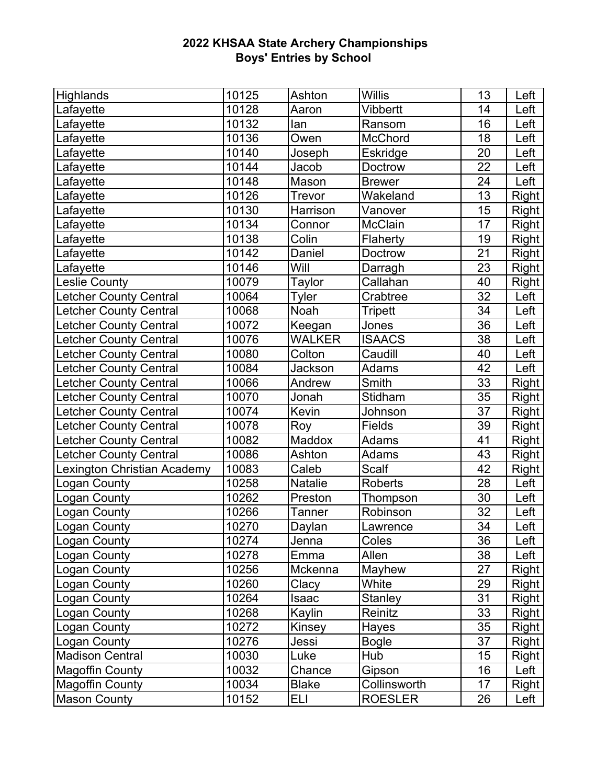| Highlands                     | 10125 | Ashton       | <b>Willis</b>  | 13 | Left         |
|-------------------------------|-------|--------------|----------------|----|--------------|
| Lafayette                     | 10128 | Aaron        | Vibbertt       | 14 | Left         |
| Lafayette                     | 10132 | lan          | Ransom         | 16 | Left         |
| Lafayette                     | 10136 | Owen         | McChord        | 18 | Left         |
| Lafayette                     | 10140 | Joseph       | Eskridge       | 20 | Left         |
| Lafayette                     | 10144 | Jacob        | Doctrow        | 22 | Left         |
| Lafayette                     | 10148 | Mason        | <b>Brewer</b>  | 24 | Left         |
| Lafayette                     | 10126 | Trevor       | Wakeland       | 13 | Right        |
| Lafayette                     | 10130 | Harrison     | Vanover        | 15 | <b>Right</b> |
| Lafayette                     | 10134 | Connor       | <b>McClain</b> | 17 | <b>Right</b> |
| Lafayette                     | 10138 | Colin        | Flaherty       | 19 | <b>Right</b> |
| Lafayette                     | 10142 | Daniel       | Doctrow        | 21 | Right        |
| Lafayette                     | 10146 | Will         | Darragh        | 23 | <b>Right</b> |
| <b>Leslie County</b>          | 10079 | Taylor       | Callahan       | 40 | <b>Right</b> |
| <b>Letcher County Central</b> | 10064 | Tyler        | Crabtree       | 32 | Left         |
| <b>Letcher County Central</b> | 10068 | Noah         | <b>Tripett</b> | 34 | Left         |
| <b>Letcher County Central</b> | 10072 | Keegan       | Jones          | 36 | Left         |
| <b>Letcher County Central</b> | 10076 | WALKER       | <b>ISAACS</b>  | 38 | Left         |
| <b>Letcher County Central</b> | 10080 | Colton       | Caudill        | 40 | Left         |
| <b>Letcher County Central</b> | 10084 | Jackson      | Adams          | 42 | Left         |
| Letcher County Central        | 10066 | Andrew       | Smith          | 33 | <b>Right</b> |
| <b>Letcher County Central</b> | 10070 | Jonah        | Stidham        | 35 | <b>Right</b> |
| Letcher County Central        | 10074 | Kevin        | Johnson        | 37 | Right        |
| <b>Letcher County Central</b> | 10078 | Roy          | <b>Fields</b>  | 39 | Right        |
| <b>Letcher County Central</b> | 10082 | Maddox       | Adams          | 41 | <b>Right</b> |
| <b>Letcher County Central</b> | 10086 | Ashton       | Adams          | 43 | <b>Right</b> |
| Lexington Christian Academy   | 10083 | Caleb        | <b>Scalf</b>   | 42 | <b>Right</b> |
| <b>Logan County</b>           | 10258 | Natalie      | Roberts        | 28 | Left         |
| <b>Logan County</b>           | 10262 | Preston      | Thompson       | 30 | Left         |
| <b>Logan County</b>           | 10266 | Tanner       | Robinson       | 32 | Left         |
| <b>Logan County</b>           | 10270 | Daylan       | Lawrence       | 34 | Left         |
| <b>Logan County</b>           | 10274 | Jenna        | Coles          | 36 | Left         |
| <b>Logan County</b>           | 10278 | Emma         | Allen          | 38 | Left         |
| Logan County                  | 10256 | Mckenna      | Mayhew         | 27 | Right        |
| <b>Logan County</b>           | 10260 | Clacy        | White          | 29 | <b>Right</b> |
| Logan County                  | 10264 | Isaac        | <b>Stanley</b> | 31 | Right        |
| Logan County                  | 10268 | Kaylin       | Reinitz        | 33 | <b>Right</b> |
| <b>Logan County</b>           | 10272 | Kinsey       | Hayes          | 35 | Right        |
| Logan County                  | 10276 | Jessi        | <b>Bogle</b>   | 37 | <b>Right</b> |
| <b>Madison Central</b>        | 10030 | Luke         | Hub            | 15 | <b>Right</b> |
| <b>Magoffin County</b>        | 10032 | Chance       | Gipson         | 16 | Left         |
| <b>Magoffin County</b>        | 10034 | <b>Blake</b> | Collinsworth   | 17 | <b>Right</b> |
| <b>Mason County</b>           | 10152 | ELI          | <b>ROESLER</b> | 26 | Left         |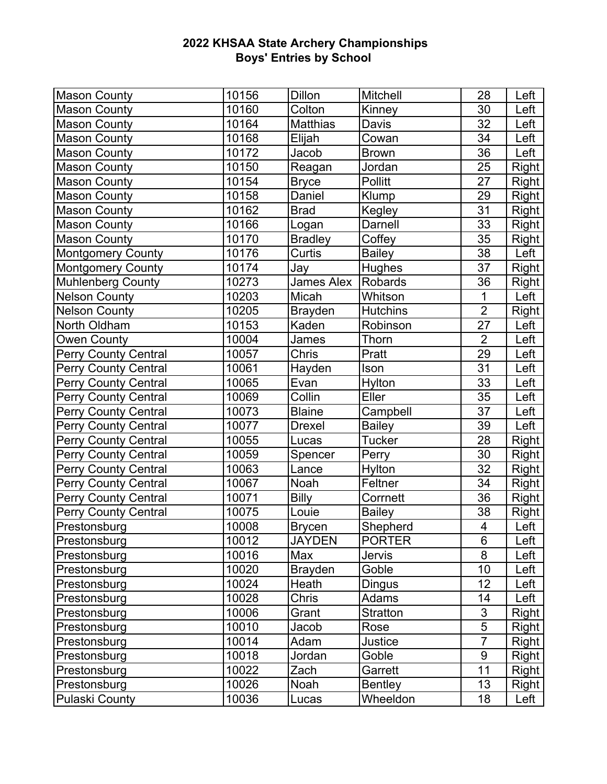| <b>Mason County</b>         | 10156 | <b>Dillon</b>   | Mitchell        | 28               | Left         |
|-----------------------------|-------|-----------------|-----------------|------------------|--------------|
| <b>Mason County</b>         | 10160 | Colton          | Kinney          | 30               | Left         |
| <b>Mason County</b>         | 10164 | <b>Matthias</b> | Davis           | 32               | Left         |
| <b>Mason County</b>         | 10168 | Elijah          | Cowan           | 34               | Left         |
| <b>Mason County</b>         | 10172 | Jacob           | <b>Brown</b>    | 36               | Left         |
| <b>Mason County</b>         | 10150 | Reagan          | Jordan          | 25               | <b>Right</b> |
| <b>Mason County</b>         | 10154 | <b>Bryce</b>    | <b>Pollitt</b>  | 27               | Right        |
| <b>Mason County</b>         | 10158 | Daniel          | Klump           | 29               | Right        |
| <b>Mason County</b>         | 10162 | <b>Brad</b>     | Kegley          | 31               | <b>Right</b> |
| <b>Mason County</b>         | 10166 | Logan           | Darnell         | 33               | Right        |
| <b>Mason County</b>         | 10170 | <b>Bradley</b>  | Coffey          | 35               | Right        |
| <b>Montgomery County</b>    | 10176 | Curtis          | <b>Bailey</b>   | 38               | Left         |
| <b>Montgomery County</b>    | 10174 | Jay             | <b>Hughes</b>   | 37               | <b>Right</b> |
| <b>Muhlenberg County</b>    | 10273 | James Alex      | Robards         | 36               | <b>Right</b> |
| <b>Nelson County</b>        | 10203 | Micah           | Whitson         | 1                | Left         |
| <b>Nelson County</b>        | 10205 | <b>Brayden</b>  | <b>Hutchins</b> | $\overline{2}$   | Right        |
| North Oldham                | 10153 | Kaden           | Robinson        | 27               | Left         |
| <b>Owen County</b>          | 10004 | James           | Thorn           | $\overline{2}$   | Left         |
| <b>Perry County Central</b> | 10057 | Chris           | Pratt           | 29               | Left         |
| <b>Perry County Central</b> | 10061 | Hayden          | Ison            | 31               | Left         |
| <b>Perry County Central</b> | 10065 | Evan            | Hylton          | 33               | Left         |
| <b>Perry County Central</b> | 10069 | Collin          | Eller           | 35               | Left         |
| <b>Perry County Central</b> | 10073 | <b>Blaine</b>   | Campbell        | 37               | Left         |
| <b>Perry County Central</b> | 10077 | <b>Drexel</b>   | <b>Bailey</b>   | 39               | Left         |
| <b>Perry County Central</b> | 10055 | Lucas           | <b>Tucker</b>   | 28               | Right        |
| <b>Perry County Central</b> | 10059 | Spencer         | Perry           | 30               | Right        |
| <b>Perry County Central</b> | 10063 | Lance           | Hylton          | 32               | Right        |
| <b>Perry County Central</b> | 10067 | Noah            | Feltner         | 34               | <b>Right</b> |
| <b>Perry County Central</b> | 10071 | <b>Billy</b>    | Corrnett        | 36               | <b>Right</b> |
| <b>Perry County Central</b> | 10075 | Louie           | <b>Bailey</b>   | 38               | <b>Right</b> |
| Prestonsburg                | 10008 | <b>Brycen</b>   | Shepherd        | $\overline{4}$   | Left         |
| Prestonsburg                | 10012 | <b>JAYDEN</b>   | <b>PORTER</b>   | 6                | Left         |
| Prestonsburg                | 10016 | Max             | <b>Jervis</b>   | 8                | Left         |
| Prestonsburg                | 10020 | <b>Brayden</b>  | Goble           | 10               | Left         |
| Prestonsburg                | 10024 | Heath           | Dingus          | 12               | Left         |
| Prestonsburg                | 10028 | Chris           | Adams           | 14               | Left         |
| Prestonsburg                | 10006 | Grant           | <b>Stratton</b> | 3                | Right        |
| Prestonsburg                | 10010 | Jacob           | Rose            | $\overline{5}$   | <b>Right</b> |
| Prestonsburg                | 10014 | Adam            | Justice         | $\overline{7}$   | Right        |
| Prestonsburg                | 10018 | Jordan          | Goble           | $\boldsymbol{9}$ | Right        |
| Prestonsburg                | 10022 | Zach            | Garrett         | 11               | Right        |
| Prestonsburg                | 10026 | Noah            | Bentley         | 13               | <b>Right</b> |
| <b>Pulaski County</b>       | 10036 | Lucas           | Wheeldon        | 18               | Left         |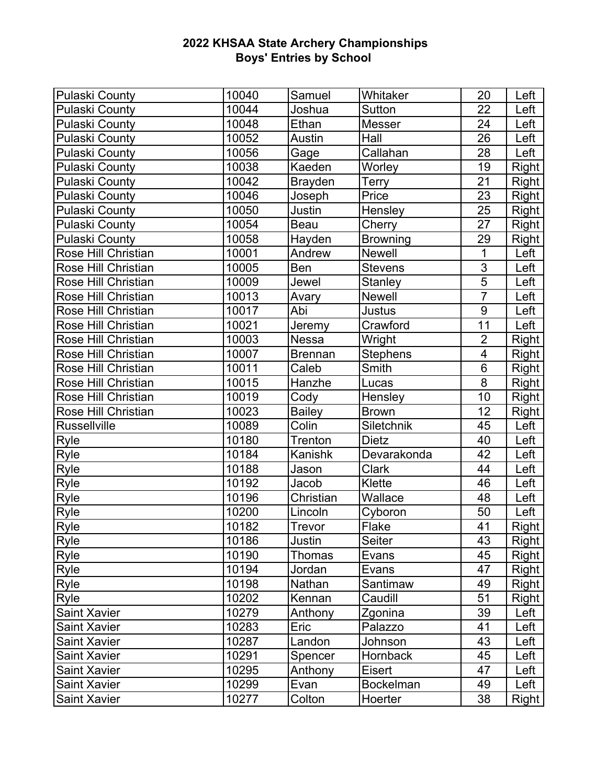| <b>Pulaski County</b> | 10040 | Samuel         | Whitaker         | 20             | Left         |
|-----------------------|-------|----------------|------------------|----------------|--------------|
| <b>Pulaski County</b> | 10044 | Joshua         | Sutton           | 22             | Left         |
| <b>Pulaski County</b> | 10048 | Ethan          | Messer           | 24             | Left         |
| <b>Pulaski County</b> | 10052 | Austin         | Hall             | 26             | Left         |
| <b>Pulaski County</b> | 10056 | Gage           | Callahan         | 28             | Left         |
| <b>Pulaski County</b> | 10038 | Kaeden         | Worley           | 19             | Right        |
| <b>Pulaski County</b> | 10042 | <b>Brayden</b> | Terry            | 21             | Right        |
| <b>Pulaski County</b> | 10046 | Joseph         | Price            | 23             | Right        |
| <b>Pulaski County</b> | 10050 | Justin         | Hensley          | 25             | Right        |
| <b>Pulaski County</b> | 10054 | Beau           | Cherry           | 27             | Right        |
| <b>Pulaski County</b> | 10058 | Hayden         | <b>Browning</b>  | 29             | Right        |
| Rose Hill Christian   | 10001 | Andrew         | <b>Newell</b>    | 1              | Left         |
| Rose Hill Christian   | 10005 | <b>Ben</b>     | <b>Stevens</b>   | $\overline{3}$ | Left         |
| Rose Hill Christian   | 10009 | Jewel          | <b>Stanley</b>   | 5              | Left         |
| Rose Hill Christian   | 10013 | Avary          | Newell           | $\overline{7}$ | Left         |
| Rose Hill Christian   | 10017 | Abi            | Justus           | $9\,$          | Left         |
| Rose Hill Christian   | 10021 | Jeremy         | Crawford         | 11             | Left         |
| Rose Hill Christian   | 10003 | <b>Nessa</b>   | Wright           | $\overline{2}$ | Right        |
| Rose Hill Christian   | 10007 | <b>Brennan</b> | <b>Stephens</b>  | 4              | Right        |
| Rose Hill Christian   | 10011 | Caleb          | Smith            | 6              | Right        |
| Rose Hill Christian   | 10015 | Hanzhe         | Lucas            | 8              | Right        |
| Rose Hill Christian   | 10019 | Cody           | Hensley          | 10             | Right        |
| Rose Hill Christian   | 10023 | <b>Bailey</b>  | <b>Brown</b>     | 12             | <b>Right</b> |
| <b>Russellville</b>   | 10089 | Colin          | Siletchnik       | 45             | Left         |
| Ryle                  | 10180 | Trenton        | Dietz            | 40             | Left         |
| Ryle                  | 10184 | Kanishk        | Devarakonda      | 42             | Left         |
| Ryle                  | 10188 | Jason          | <b>Clark</b>     | 44             | Left         |
| <b>Ryle</b>           | 10192 | Jacob          | Klette           | 46             | Left         |
| Ryle                  | 10196 | Christian      | Wallace          | 48             | Left         |
| Ryle                  | 10200 | Lincoln        | Cyboron          | 50             | Left         |
| <b>Ryle</b>           | 10182 | Trevor         | Flake            | 41             | Right        |
| Ryle                  | 10186 | Justin         | Seiter           | 43             | Right        |
| Ryle                  | 10190 | Thomas         | Evans            | 45             | <b>Right</b> |
| Ryle                  | 10194 | Jordan         | Evans            | 47             | Right        |
| Ryle                  | 10198 | Nathan         | Santimaw         | 49             | Right        |
| Ryle                  | 10202 | Kennan         | Caudill          | 51             | Right        |
| <b>Saint Xavier</b>   | 10279 | Anthony        | Zgonina          | 39             | Left         |
| <b>Saint Xavier</b>   | 10283 | Eric           | Palazzo          | 41             | Left         |
| <b>Saint Xavier</b>   | 10287 | Landon         | Johnson          | 43             | Left         |
| <b>Saint Xavier</b>   | 10291 | Spencer        | <b>Hornback</b>  | 45             | Left         |
| <b>Saint Xavier</b>   | 10295 | Anthony        | Eisert           | 47             | Left         |
| <b>Saint Xavier</b>   | 10299 | Evan           | <b>Bockelman</b> | 49             | Left         |
| <b>Saint Xavier</b>   | 10277 | Colton         | Hoerter          | 38             | <b>Right</b> |